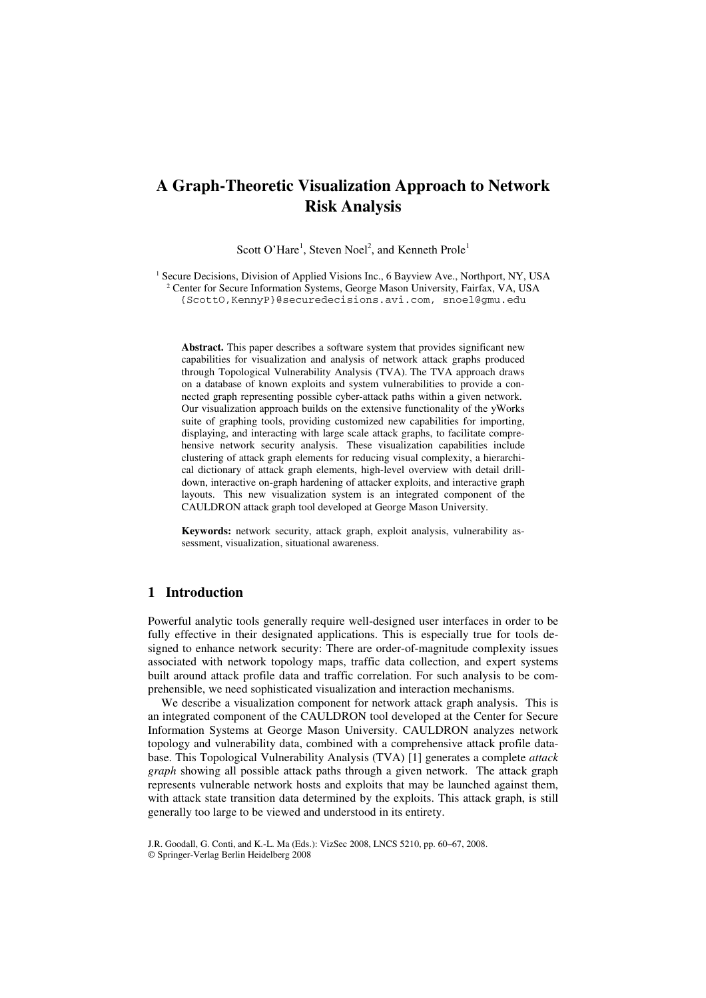# **A Graph-Theoretic Visualization Approach to Network Risk Analysis**

Scott O'Hare<sup>1</sup>, Steven Noel<sup>2</sup>, and Kenneth Prole<sup>1</sup>

<sup>1</sup> Secure Decisions, Division of Applied Visions Inc., 6 Bayview Ave., Northport, NY, USA <sup>2</sup> Center for Secure Information Systems, George Mason University, Fairfax, VA, USA

{ScottO,KennyP}@securedecisions.avi.com, snoel@gmu.edu

**Abstract.** This paper describes a software system that provides significant new capabilities for visualization and analysis of network attack graphs produced through Topological Vulnerability Analysis (TVA). The TVA approach draws on a database of known exploits and system vulnerabilities to provide a connected graph representing possible cyber-attack paths within a given network. Our visualization approach builds on the extensive functionality of the yWorks suite of graphing tools, providing customized new capabilities for importing, displaying, and interacting with large scale attack graphs, to facilitate comprehensive network security analysis. These visualization capabilities include clustering of attack graph elements for reducing visual complexity, a hierarchical dictionary of attack graph elements, high-level overview with detail drilldown, interactive on-graph hardening of attacker exploits, and interactive graph layouts. This new visualization system is an integrated component of the CAULDRON attack graph tool developed at George Mason University.

**Keywords:** network security, attack graph, exploit analysis, vulnerability assessment, visualization, situational awareness.

# **1 Introduction**

Powerful analytic tools generally require well-designed user interfaces in order to be fully effective in their designated applications. This is especially true for tools designed to enhance network security: There are order-of-magnitude complexity issues associated with network topology maps, traffic data collection, and expert systems built around attack profile data and traffic correlation. For such analysis to be comprehensible, we need sophisticated visualization and interaction mechanisms.

We describe a visualization component for network attack graph analysis. This is an integrated component of the CAULDRON tool developed at the Center for Secure Information Systems at George Mason University. CAULDRON analyzes network topology and vulnerability data, combined with a comprehensive attack profile database. This Topological Vulnerability Analysis (TVA) [1] generates a complete *attack graph* showing all possible attack paths through a given network. The attack graph represents vulnerable network hosts and exploits that may be launched against them, with attack state transition data determined by the exploits. This attack graph, is still generally too large to be viewed and understood in its entirety.

J.R. Goodall, G. Conti, and K.-L. Ma (Eds.): VizSec 2008, LNCS 5210, pp. 60–67, 2008. © Springer-Verlag Berlin Heidelberg 2008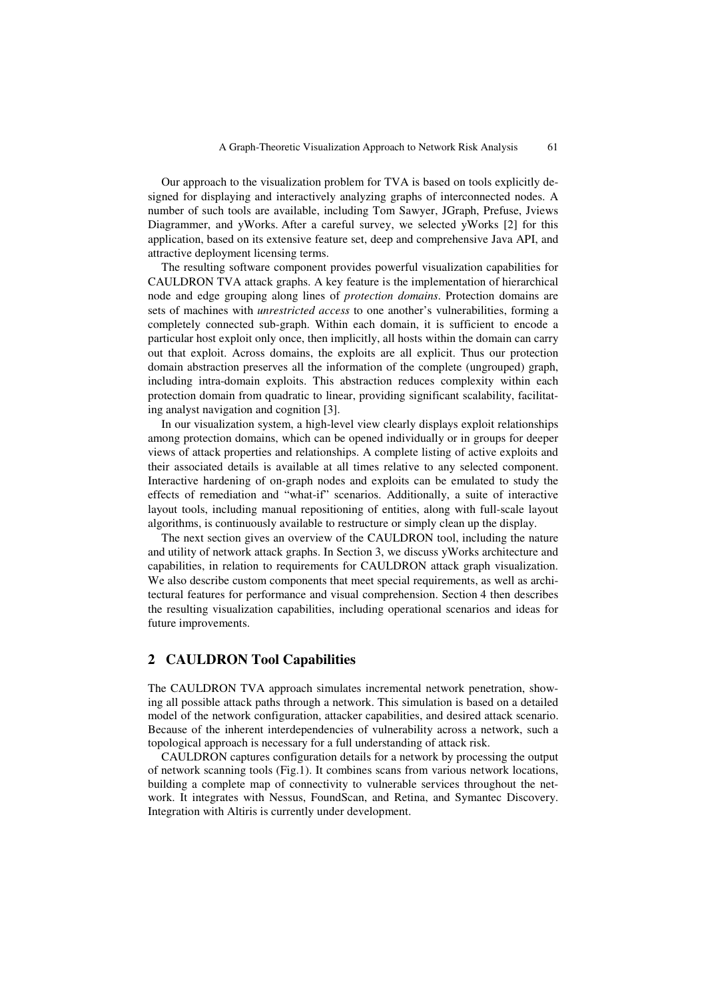Our approach to the visualization problem for TVA is based on tools explicitly designed for displaying and interactively analyzing graphs of interconnected nodes. A number of such tools are available, including Tom Sawyer, JGraph, Prefuse, Jviews Diagrammer, and yWorks. After a careful survey, we selected yWorks [2] for this application, based on its extensive feature set, deep and comprehensive Java API, and attractive deployment licensing terms.

The resulting software component provides powerful visualization capabilities for CAULDRON TVA attack graphs. A key feature is the implementation of hierarchical node and edge grouping along lines of *protection domains*. Protection domains are sets of machines with *unrestricted access* to one another's vulnerabilities, forming a completely connected sub-graph. Within each domain, it is sufficient to encode a particular host exploit only once, then implicitly, all hosts within the domain can carry out that exploit. Across domains, the exploits are all explicit. Thus our protection domain abstraction preserves all the information of the complete (ungrouped) graph, including intra-domain exploits. This abstraction reduces complexity within each protection domain from quadratic to linear, providing significant scalability, facilitating analyst navigation and cognition [3].

In our visualization system, a high-level view clearly displays exploit relationships among protection domains, which can be opened individually or in groups for deeper views of attack properties and relationships. A complete listing of active exploits and their associated details is available at all times relative to any selected component. Interactive hardening of on-graph nodes and exploits can be emulated to study the effects of remediation and "what-if" scenarios. Additionally, a suite of interactive layout tools, including manual repositioning of entities, along with full-scale layout algorithms, is continuously available to restructure or simply clean up the display.

The next section gives an overview of the CAULDRON tool, including the nature and utility of network attack graphs. In Section 3, we discuss yWorks architecture and capabilities, in relation to requirements for CAULDRON attack graph visualization. We also describe custom components that meet special requirements, as well as architectural features for performance and visual comprehension. Section 4 then describes the resulting visualization capabilities, including operational scenarios and ideas for future improvements.

# **2 CAULDRON Tool Capabilities**

The CAULDRON TVA approach simulates incremental network penetration, showing all possible attack paths through a network. This simulation is based on a detailed model of the network configuration, attacker capabilities, and desired attack scenario. Because of the inherent interdependencies of vulnerability across a network, such a topological approach is necessary for a full understanding of attack risk.

CAULDRON captures configuration details for a network by processing the output of network scanning tools (Fig.1). It combines scans from various network locations, building a complete map of connectivity to vulnerable services throughout the network. It integrates with Nessus, FoundScan, and Retina, and Symantec Discovery. Integration with Altiris is currently under development.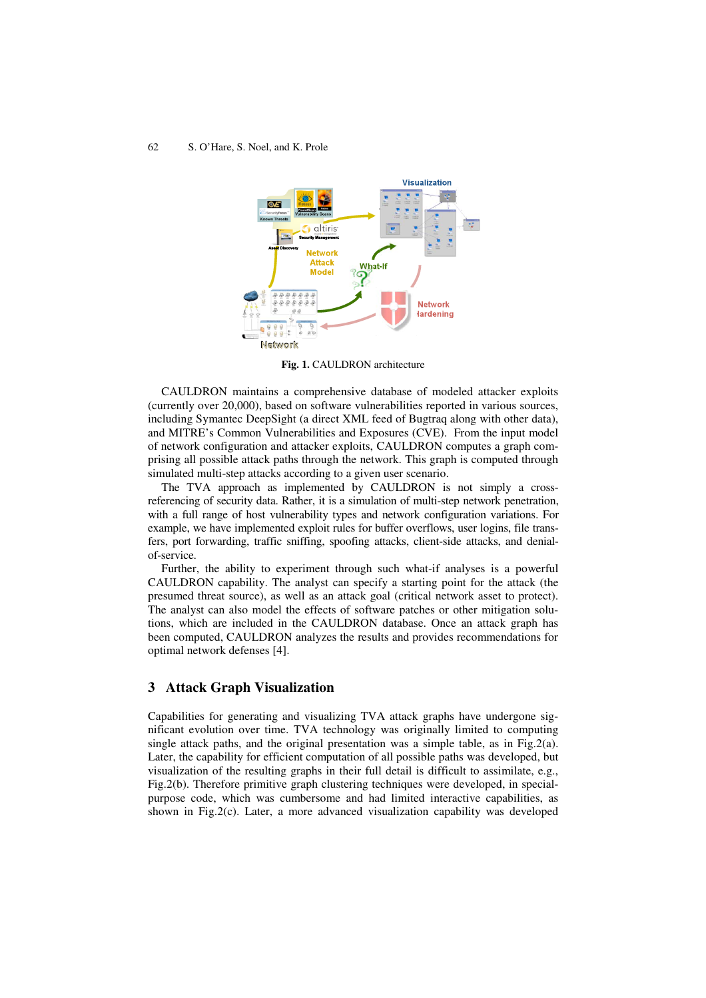

**Fig. 1.** CAULDRON architecture

CAULDRON maintains a comprehensive database of modeled attacker exploits (currently over 20,000), based on software vulnerabilities reported in various sources, including Symantec DeepSight (a direct XML feed of Bugtraq along with other data), and MITRE's Common Vulnerabilities and Exposures (CVE). From the input model of network configuration and attacker exploits, CAULDRON computes a graph comprising all possible attack paths through the network. This graph is computed through simulated multi-step attacks according to a given user scenario.

The TVA approach as implemented by CAULDRON is not simply a crossreferencing of security data. Rather, it is a simulation of multi-step network penetration, with a full range of host vulnerability types and network configuration variations. For example, we have implemented exploit rules for buffer overflows, user logins, file transfers, port forwarding, traffic sniffing, spoofing attacks, client-side attacks, and denialof-service.

Further, the ability to experiment through such what-if analyses is a powerful CAULDRON capability. The analyst can specify a starting point for the attack (the presumed threat source), as well as an attack goal (critical network asset to protect). The analyst can also model the effects of software patches or other mitigation solutions, which are included in the CAULDRON database. Once an attack graph has been computed, CAULDRON analyzes the results and provides recommendations for optimal network defenses [4].

## **3 Attack Graph Visualization**

Capabilities for generating and visualizing TVA attack graphs have undergone significant evolution over time. TVA technology was originally limited to computing single attack paths, and the original presentation was a simple table, as in Fig.2(a). Later, the capability for efficient computation of all possible paths was developed, but visualization of the resulting graphs in their full detail is difficult to assimilate, e.g., Fig.2(b). Therefore primitive graph clustering techniques were developed, in specialpurpose code, which was cumbersome and had limited interactive capabilities, as shown in Fig.2(c). Later, a more advanced visualization capability was developed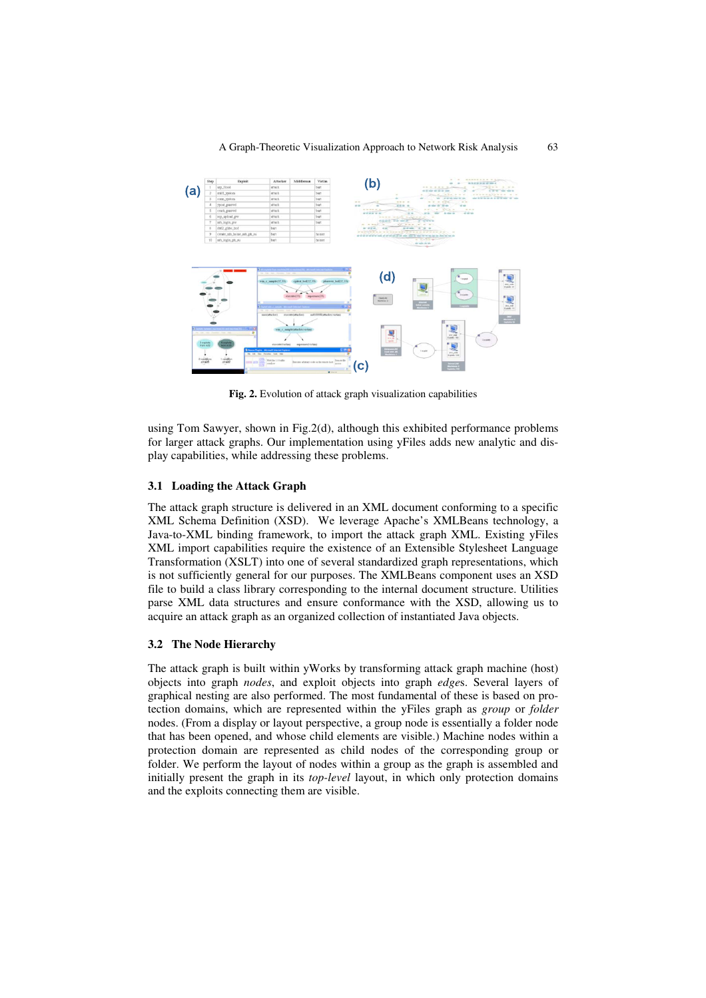#### A Graph-Theoretic Visualization Approach to Network Risk Analysis 63



**Fig. 2.** Evolution of attack graph visualization capabilities

using Tom Sawyer, shown in Fig.2(d), although this exhibited performance problems for larger attack graphs. Our implementation using yFiles adds new analytic and display capabilities, while addressing these problems.

### **3.1 Loading the Attack Graph**

The attack graph structure is delivered in an XML document conforming to a specific XML Schema Definition (XSD). We leverage Apache's XMLBeans technology, a Java-to-XML binding framework, to import the attack graph XML. Existing yFiles XML import capabilities require the existence of an Extensible Stylesheet Language Transformation (XSLT) into one of several standardized graph representations, which is not sufficiently general for our purposes. The XMLBeans component uses an XSD file to build a class library corresponding to the internal document structure. Utilities parse XML data structures and ensure conformance with the XSD, allowing us to acquire an attack graph as an organized collection of instantiated Java objects.

#### **3.2 The Node Hierarchy**

The attack graph is built within yWorks by transforming attack graph machine (host) objects into graph *nodes*, and exploit objects into graph *edge*s. Several layers of graphical nesting are also performed. The most fundamental of these is based on protection domains, which are represented within the yFiles graph as *group* or *folder* nodes. (From a display or layout perspective, a group node is essentially a folder node that has been opened, and whose child elements are visible.) Machine nodes within a protection domain are represented as child nodes of the corresponding group or folder. We perform the layout of nodes within a group as the graph is assembled and initially present the graph in its *top-level* layout, in which only protection domains and the exploits connecting them are visible.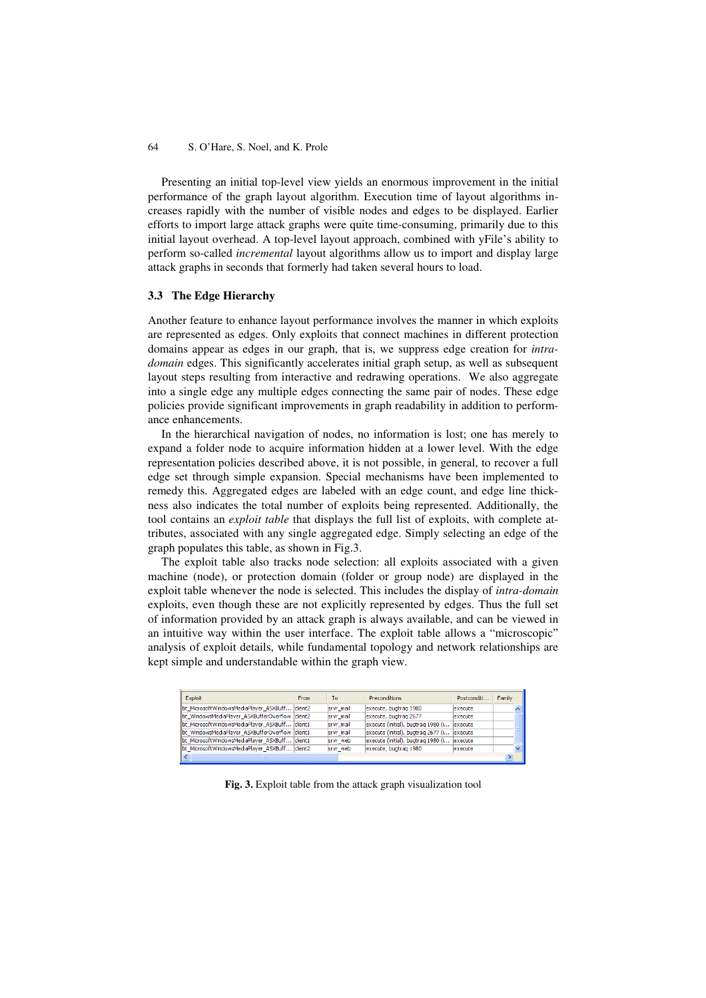#### 64 S. O'Hare, S. Noel, and K. Prole

Presenting an initial top-level view yields an enormous improvement in the initial performance of the graph layout algorithm. Execution time of layout algorithms increases rapidly with the number of visible nodes and edges to be displayed. Earlier efforts to import large attack graphs were quite time-consuming, primarily due to this initial layout overhead. A top-level layout approach, combined with yFile's ability to perform so-called *incremental* layout algorithms allow us to import and display large attack graphs in seconds that formerly had taken several hours to load.

#### **3.3 The Edge Hierarchy**

Another feature to enhance layout performance involves the manner in which exploits are represented as edges. Only exploits that connect machines in different protection domains appear as edges in our graph, that is, we suppress edge creation for *intradomain* edges. This significantly accelerates initial graph setup, as well as subsequent layout steps resulting from interactive and redrawing operations. We also aggregate into a single edge any multiple edges connecting the same pair of nodes. These edge policies provide significant improvements in graph readability in addition to performance enhancements.

In the hierarchical navigation of nodes, no information is lost; one has merely to expand a folder node to acquire information hidden at a lower level. With the edge representation policies described above, it is not possible, in general, to recover a full edge set through simple expansion. Special mechanisms have been implemented to remedy this. Aggregated edges are labeled with an edge count, and edge line thickness also indicates the total number of exploits being represented. Additionally, the tool contains an *exploit table* that displays the full list of exploits, with complete attributes, associated with any single aggregated edge. Simply selecting an edge of the graph populates this table, as shown in Fig.3.

The exploit table also tracks node selection: all exploits associated with a given machine (node), or protection domain (folder or group node) are displayed in the exploit table whenever the node is selected. This includes the display of *intra-domain* exploits, even though these are not explicitly represented by edges. Thus the full set of information provided by an attack graph is always available, and can be viewed in an intuitive way within the user interface. The exploit table allows a "microscopic" analysis of exploit details, while fundamental topology and network relationships are kept simple and understandable within the graph view.

| Exploit                                         | From | To        | <b>Preconditions</b>                       | Postconditi | Family |  |
|-------------------------------------------------|------|-----------|--------------------------------------------|-------------|--------|--|
| bt MicrosoftWindowsMediaPlayer ASXBuff client2  |      | srvr mail | execute, bugtrag 1980                      | execute     |        |  |
| bt WindowsMediaPlayer ASXBufferOverflow client2 |      | srvr mail | execute, bugtrag 2677                      | execute     |        |  |
| bt MicrosoftWindowsMediaPlayer ASXBuff client1  |      | srvr mail | execute (initial), bugtrag 1980 (i         | execute     |        |  |
| bt_WindowsMediaPlayer_ASXBufferOverflow client1 |      | srvr mail | execute (initial), bugtrag 2677 (i execute |             |        |  |
| bt MicrosoftWindowsMediaPlayer ASXBuff client1  |      | srvr web  | execute (initial), bugtrag 1980 (i execute |             |        |  |
| bt MicrosoftWindowsMediaPlayer ASXBuff client2  |      | srvr web  | execute, bugtrag 1980                      | execute     |        |  |
|                                                 |      |           |                                            |             |        |  |

**Fig. 3.** Exploit table from the attack graph visualization tool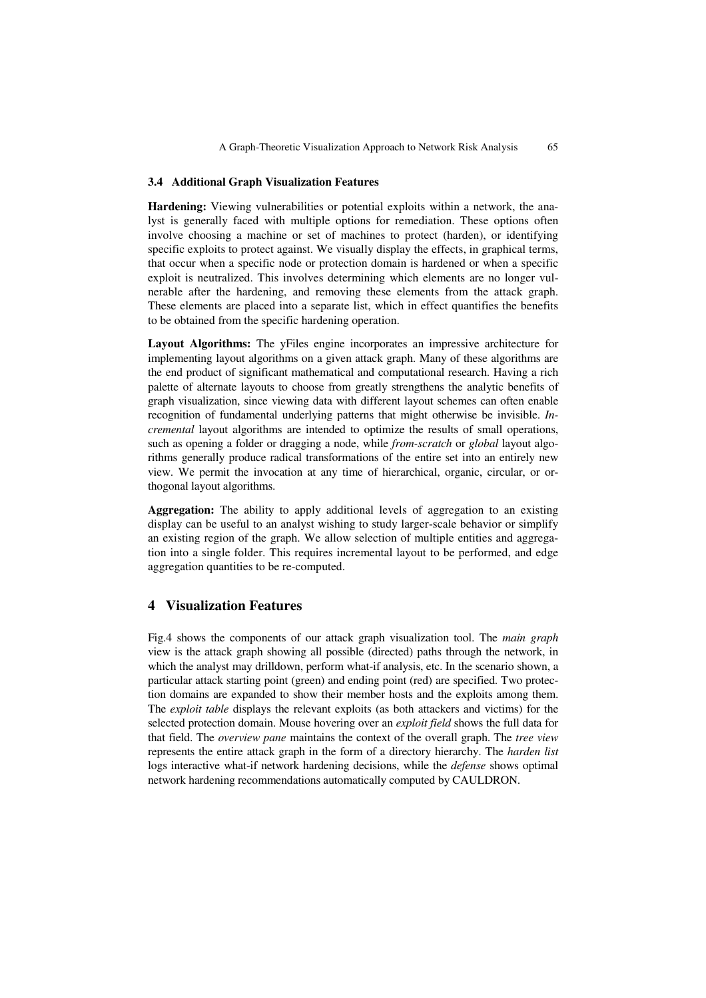#### **3.4 Additional Graph Visualization Features**

**Hardening:** Viewing vulnerabilities or potential exploits within a network, the analyst is generally faced with multiple options for remediation. These options often involve choosing a machine or set of machines to protect (harden), or identifying specific exploits to protect against. We visually display the effects, in graphical terms, that occur when a specific node or protection domain is hardened or when a specific exploit is neutralized. This involves determining which elements are no longer vulnerable after the hardening, and removing these elements from the attack graph. These elements are placed into a separate list, which in effect quantifies the benefits to be obtained from the specific hardening operation.

**Layout Algorithms:** The yFiles engine incorporates an impressive architecture for implementing layout algorithms on a given attack graph. Many of these algorithms are the end product of significant mathematical and computational research. Having a rich palette of alternate layouts to choose from greatly strengthens the analytic benefits of graph visualization, since viewing data with different layout schemes can often enable recognition of fundamental underlying patterns that might otherwise be invisible. *Incremental* layout algorithms are intended to optimize the results of small operations, such as opening a folder or dragging a node, while *from-scratch* or *global* layout algorithms generally produce radical transformations of the entire set into an entirely new view. We permit the invocation at any time of hierarchical, organic, circular, or orthogonal layout algorithms.

**Aggregation:** The ability to apply additional levels of aggregation to an existing display can be useful to an analyst wishing to study larger-scale behavior or simplify an existing region of the graph. We allow selection of multiple entities and aggregation into a single folder. This requires incremental layout to be performed, and edge aggregation quantities to be re-computed.

# **4 Visualization Features**

Fig.4 shows the components of our attack graph visualization tool. The *main graph* view is the attack graph showing all possible (directed) paths through the network, in which the analyst may drilldown, perform what-if analysis, etc. In the scenario shown, a particular attack starting point (green) and ending point (red) are specified. Two protection domains are expanded to show their member hosts and the exploits among them. The *exploit table* displays the relevant exploits (as both attackers and victims) for the selected protection domain. Mouse hovering over an *exploit field* shows the full data for that field. The *overview pane* maintains the context of the overall graph. The *tree view* represents the entire attack graph in the form of a directory hierarchy. The *harden list* logs interactive what-if network hardening decisions, while the *defense* shows optimal network hardening recommendations automatically computed by CAULDRON.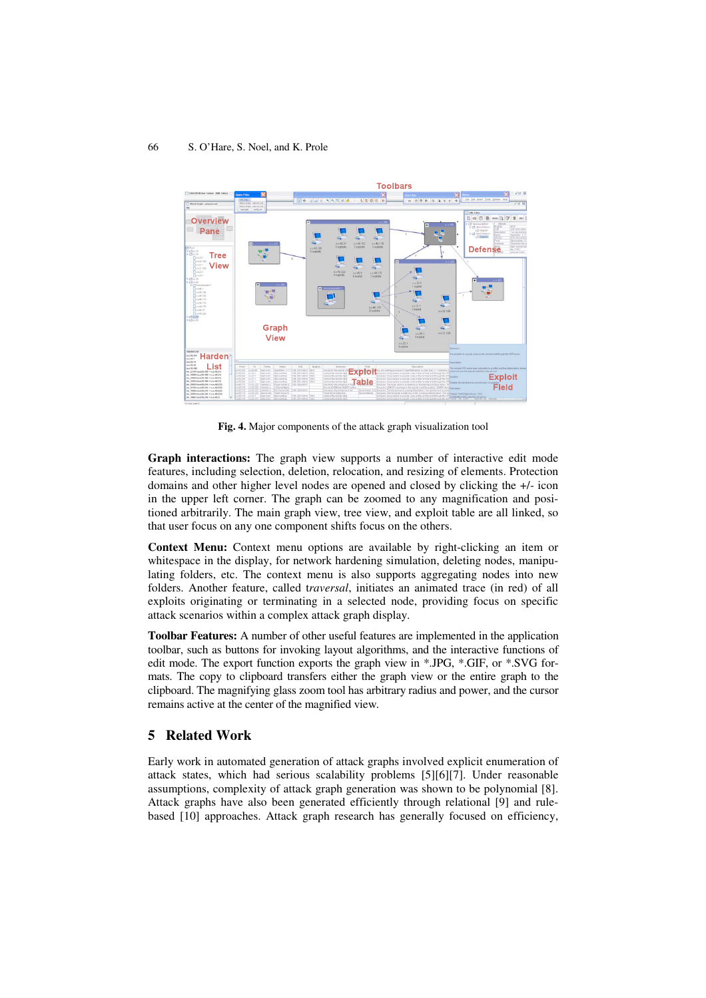

**Fig. 4.** Major components of the attack graph visualization tool

**Graph interactions:** The graph view supports a number of interactive edit mode features, including selection, deletion, relocation, and resizing of elements. Protection domains and other higher level nodes are opened and closed by clicking the +/- icon in the upper left corner. The graph can be zoomed to any magnification and positioned arbitrarily. The main graph view, tree view, and exploit table are all linked, so that user focus on any one component shifts focus on the others.

**Context Menu:** Context menu options are available by right-clicking an item or whitespace in the display, for network hardening simulation, deleting nodes, manipulating folders, etc. The context menu is also supports aggregating nodes into new folders. Another feature, called t*raversal*, initiates an animated trace (in red) of all exploits originating or terminating in a selected node, providing focus on specific attack scenarios within a complex attack graph display.

**Toolbar Features:** A number of other useful features are implemented in the application toolbar, such as buttons for invoking layout algorithms, and the interactive functions of edit mode. The export function exports the graph view in \*.JPG, \*.GIF, or \*.SVG formats. The copy to clipboard transfers either the graph view or the entire graph to the clipboard. The magnifying glass zoom tool has arbitrary radius and power, and the cursor remains active at the center of the magnified view.

# **5 Related Work**

Early work in automated generation of attack graphs involved explicit enumeration of attack states, which had serious scalability problems [5][6][7]. Under reasonable assumptions, complexity of attack graph generation was shown to be polynomial [8]. Attack graphs have also been generated efficiently through relational [9] and rulebased [10] approaches. Attack graph research has generally focused on efficiency,